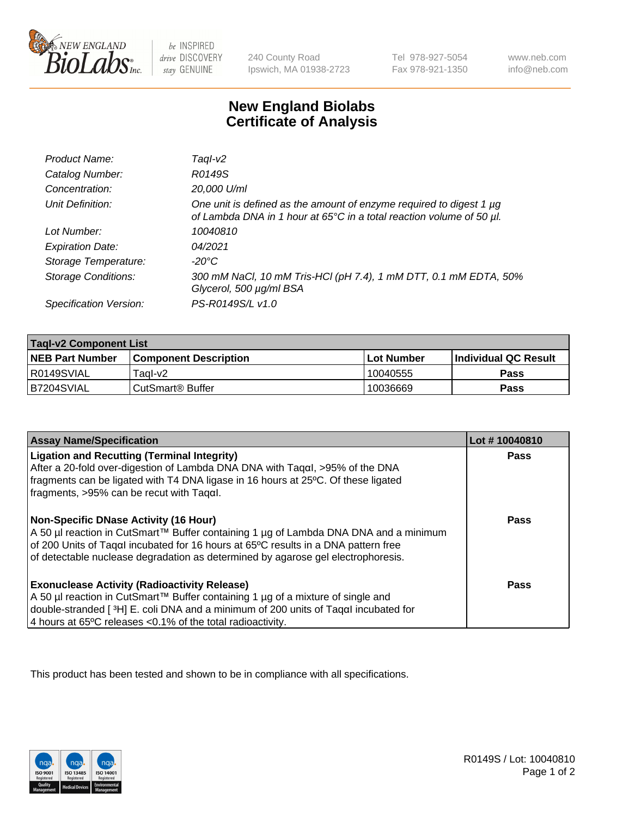

 $be$  INSPIRED drive DISCOVERY stay GENUINE

240 County Road Ipswich, MA 01938-2723 Tel 978-927-5054 Fax 978-921-1350 www.neb.com info@neb.com

## **New England Biolabs Certificate of Analysis**

| Product Name:              | Taql-v2                                                                                                                                     |
|----------------------------|---------------------------------------------------------------------------------------------------------------------------------------------|
| Catalog Number:            | R0149S                                                                                                                                      |
| Concentration:             | 20,000 U/ml                                                                                                                                 |
| Unit Definition:           | One unit is defined as the amount of enzyme required to digest 1 µg<br>of Lambda DNA in 1 hour at 65°C in a total reaction volume of 50 µl. |
| Lot Number:                | 10040810                                                                                                                                    |
| <b>Expiration Date:</b>    | 04/2021                                                                                                                                     |
| Storage Temperature:       | -20°C                                                                                                                                       |
| <b>Storage Conditions:</b> | 300 mM NaCl, 10 mM Tris-HCl (pH 7.4), 1 mM DTT, 0.1 mM EDTA, 50%<br>Glycerol, 500 µg/ml BSA                                                 |
| Specification Version:     | PS-R0149S/L v1.0                                                                                                                            |

| <b>Tagl-v2 Component List</b> |                              |              |                             |  |
|-------------------------------|------------------------------|--------------|-----------------------------|--|
| <b>NEB Part Number</b>        | <b>Component Description</b> | l Lot Number | <b>Individual QC Result</b> |  |
| I R0149SVIAL                  | Tagl-v2                      | 10040555     | Pass                        |  |
| B7204SVIAL                    | CutSmart® Buffer             | 10036669     | Pass                        |  |

| <b>Assay Name/Specification</b>                                                                                                                                                                                                                                                                                | Lot #10040810 |
|----------------------------------------------------------------------------------------------------------------------------------------------------------------------------------------------------------------------------------------------------------------------------------------------------------------|---------------|
| <b>Ligation and Recutting (Terminal Integrity)</b><br>After a 20-fold over-digestion of Lambda DNA DNA with Tagal, $>95\%$ of the DNA                                                                                                                                                                          | <b>Pass</b>   |
| fragments can be ligated with T4 DNA ligase in 16 hours at 25°C. Of these ligated<br>fragments, >95% can be recut with Tagαl.                                                                                                                                                                                  |               |
| <b>Non-Specific DNase Activity (16 Hour)</b><br>A 50 µl reaction in CutSmart™ Buffer containing 1 µg of Lambda DNA DNA and a minimum<br>of 200 Units of Tagal incubated for 16 hours at 65°C results in a DNA pattern free<br>of detectable nuclease degradation as determined by agarose gel electrophoresis. | <b>Pass</b>   |
| <b>Exonuclease Activity (Radioactivity Release)</b><br>  A 50 µl reaction in CutSmart™ Buffer containing 1 µg of a mixture of single and<br>double-stranded [3H] E. coli DNA and a minimum of 200 units of Taqal incubated for<br>4 hours at 65°C releases < 0.1% of the total radioactivity.                  | <b>Pass</b>   |

This product has been tested and shown to be in compliance with all specifications.